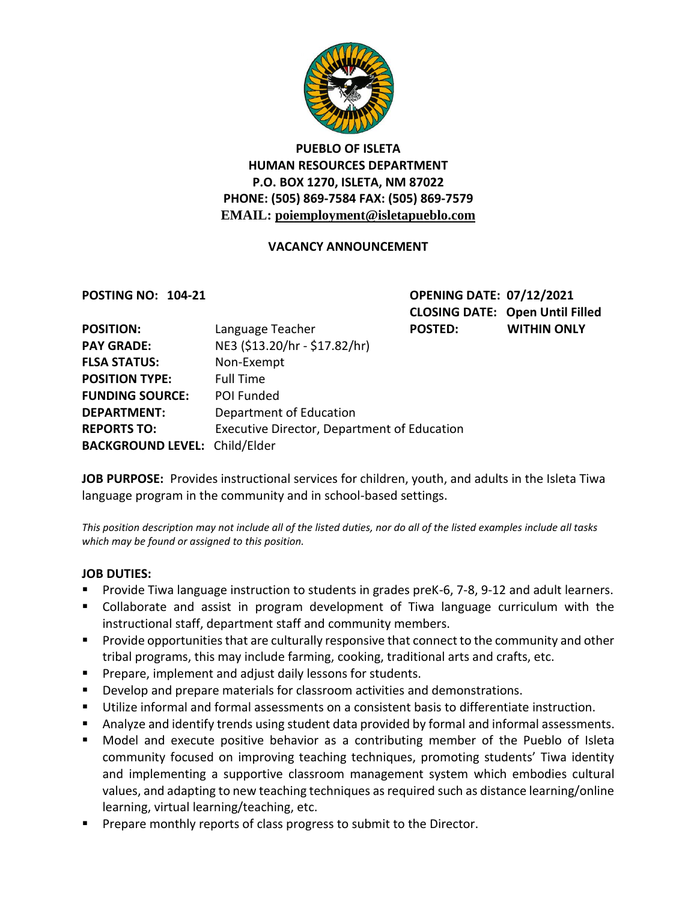

# **PUEBLO OF ISLETA HUMAN RESOURCES DEPARTMENT P.O. BOX 1270, ISLETA, NM 87022 PHONE: (505) 869-7584 FAX: (505) 869-7579 EMAIL: poiemployment@isletapueblo.com**

### **VACANCY ANNOUNCEMENT**

**POSTING NO: 104-21 OPENING DATE: 07/12/2021 CLOSING DATE: Open Until Filled WITHIN ONLY** 

| <b>POSITION:</b>                     | Language Teacher                                   | <b>POSTED:</b> |
|--------------------------------------|----------------------------------------------------|----------------|
| <b>PAY GRADE:</b>                    | NE3 (\$13.20/hr - \$17.82/hr)                      |                |
| <b>FLSA STATUS:</b>                  | Non-Exempt                                         |                |
| <b>POSITION TYPE:</b>                | <b>Full Time</b>                                   |                |
| <b>FUNDING SOURCE:</b>               | POI Funded                                         |                |
| <b>DEPARTMENT:</b>                   | Department of Education                            |                |
| <b>REPORTS TO:</b>                   | <b>Executive Director, Department of Education</b> |                |
| <b>BACKGROUND LEVEL: Child/Elder</b> |                                                    |                |

**JOB PURPOSE:** Provides instructional services for children, youth, and adults in the Isleta Tiwa language program in the community and in school-based settings.

*This position description may not include all of the listed duties, nor do all of the listed examples include all tasks which may be found or assigned to this position.*

#### **JOB DUTIES:**

- **Provide Tiwa language instruction to students in grades preK-6, 7-8, 9-12 and adult learners.**
- Collaborate and assist in program development of Tiwa language curriculum with the instructional staff, department staff and community members.
- **Provide opportunities that are culturally responsive that connect to the community and other** tribal programs, this may include farming, cooking, traditional arts and crafts, etc.
- **Prepare, implement and adjust daily lessons for students.**
- Develop and prepare materials for classroom activities and demonstrations.
- Utilize informal and formal assessments on a consistent basis to differentiate instruction.
- Analyze and identify trends using student data provided by formal and informal assessments.
- Model and execute positive behavior as a contributing member of the Pueblo of Isleta community focused on improving teaching techniques, promoting students' Tiwa identity and implementing a supportive classroom management system which embodies cultural values, and adapting to new teaching techniques as required such as distance learning/online learning, virtual learning/teaching, etc.
- **Prepare monthly reports of class progress to submit to the Director.**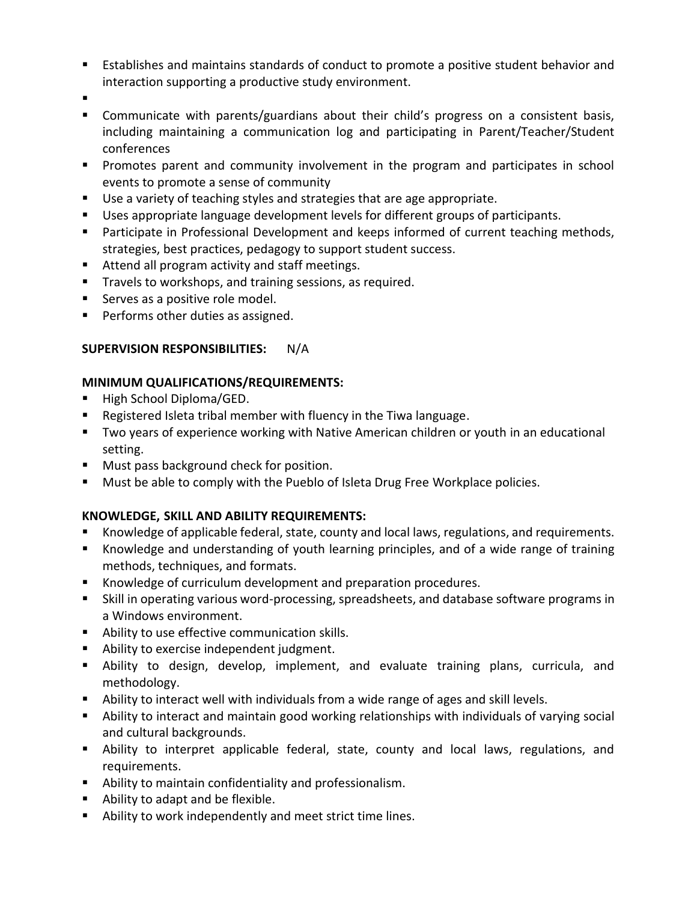- Establishes and maintains standards of conduct to promote a positive student behavior and interaction supporting a productive study environment.
- .
- Communicate with parents/guardians about their child's progress on a consistent basis, including maintaining a communication log and participating in Parent/Teacher/Student conferences
- **Promotes parent and community involvement in the program and participates in school** events to promote a sense of community
- Use a variety of teaching styles and strategies that are age appropriate.
- Uses appropriate language development levels for different groups of participants.
- Participate in Professional Development and keeps informed of current teaching methods, strategies, best practices, pedagogy to support student success.
- Attend all program activity and staff meetings.
- **Travels to workshops, and training sessions, as required.**
- **Serves as a positive role model.**
- **Performs other duties as assigned.**

# **SUPERVISION RESPONSIBILITIES:** N/A

# **MINIMUM QUALIFICATIONS/REQUIREMENTS:**

- High School Diploma/GED.
- Registered Isleta tribal member with fluency in the Tiwa language.
- Two years of experience working with Native American children or youth in an educational setting.
- **Must pass background check for position.**
- **Must be able to comply with the Pueblo of Isleta Drug Free Workplace policies.**

# **KNOWLEDGE, SKILL AND ABILITY REQUIREMENTS:**

- Knowledge of applicable federal, state, county and local laws, regulations, and requirements.
- Knowledge and understanding of youth learning principles, and of a wide range of training methods, techniques, and formats.
- Knowledge of curriculum development and preparation procedures.
- Skill in operating various word-processing, spreadsheets, and database software programs in a Windows environment.
- **Ability to use effective communication skills.**
- **Ability to exercise independent judgment.**
- Ability to design, develop, implement, and evaluate training plans, curricula, and methodology.
- Ability to interact well with individuals from a wide range of ages and skill levels.
- Ability to interact and maintain good working relationships with individuals of varying social and cultural backgrounds.
- Ability to interpret applicable federal, state, county and local laws, regulations, and requirements.
- Ability to maintain confidentiality and professionalism.
- Ability to adapt and be flexible.
- Ability to work independently and meet strict time lines.